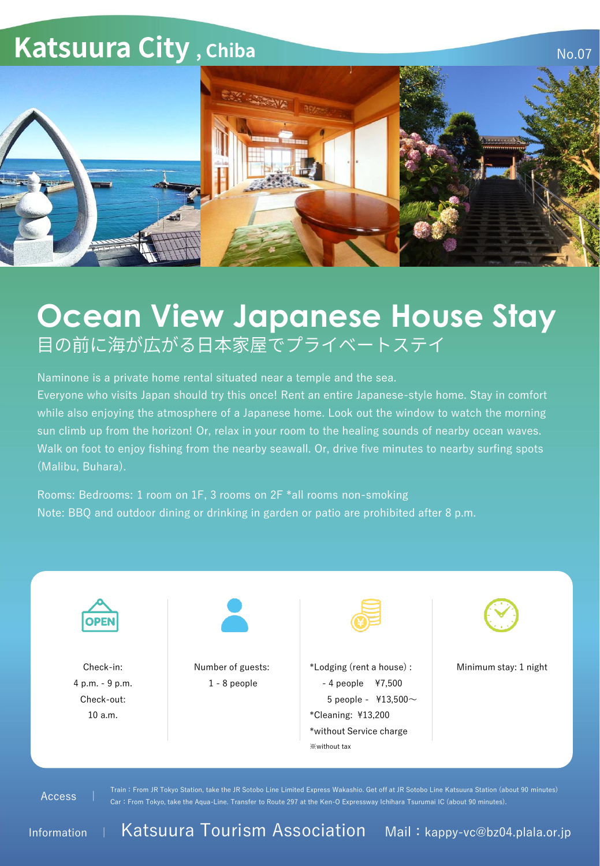

## **Ocean View Japanese House Stay**<br><sub>目の前に海が広がる日本家屋でプライベートステイ</sub>

Naminone is a private home rental situated near a temple and the sea.

Everyone who visits Japan should try this once! Rent an entire Japanese-style home. Stay in comfort while also enjoying the atmosphere of a Japanese home. Look out the window to watch the morning sun climb up from the horizon! Or, relax in your room to the healing sounds of nearby ocean waves. Walk on foot to enjoy fishing from the nearby seawall. Or, drive five minutes to nearby surfing spots (Malibu, Buhara).

Rooms: Bedrooms: 1 room on 1F, 3 rooms on 2F \*all rooms non-smoking Note: BBQ and outdoor dining or drinking in garden or patio are prohibited after 8 p.m.



Information | Katsuura Tourism Association Mail: kappy-vc@bz04.plala.or.jp